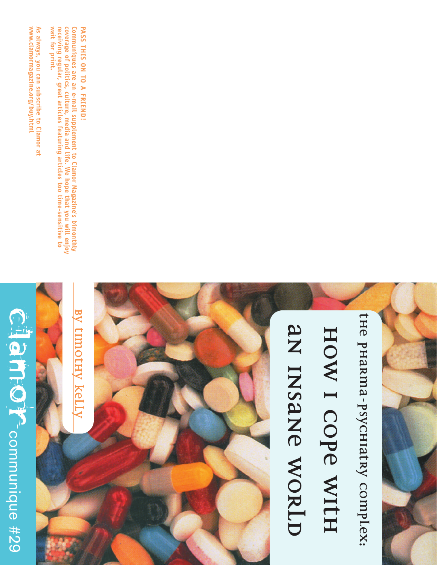## Clancor Communique #29 communique #29

As always, you can subscribe to Clamor at<br>www.clamormagazine.org/buy.html **always, you can subscribe to Clamor at www.clamormagazine.org/buy.html** 

receiving regular, great articles featuring articles too time-sensitive to<br>wait for print. Communiques are an e-mail supplement to Clamor Magazine's bimonthly<br>coverage of politics, culture, media and life. We hope that you will enjoy **wait for print. coverage of politics, culture, media and life. We hope that you will enjoy Communiques are an e-mail supplement to Clamor Magazine's bimonthly eceiving regular, great articles featuring articles too time-sensitive to**

**BY TIMOTHY KELLY**

<u>by timothy kelly</u>

PASS THIS ON TO A FRIEND! **PASS THIS ON TO A FRIEND!**

## AN INSANE WORLD **AN INSANE WORLD**

**THE PHARMA-PSYCHIATRY COMPLEX:** 

the pharma-psychiatry complex:

**HOW I COPE WITH**

HOW I COPE WITH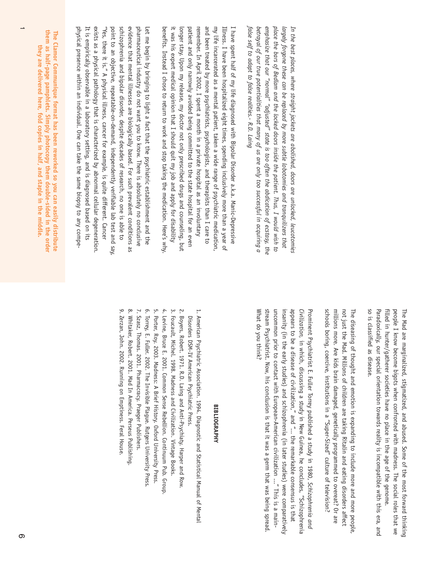*false self to adapt to false realities*. - R.D. Laing betrayal of our true potentialities that many of us are only too successful in acquiring a emphasize that our "normal" "adjusted" state is too often the abdication of ecstasy, the place the bars of Bedlam and the locked doors inside the patient. Thus, I would wish to largely forgone these can be replaced by more subtle lobotomies and tranquilizers that In the best places, where straight jackets are abolished, doors are unlocked, leucotomies *place the bars of Bedlam and the locked doors inside the patient. Thus, I would wish to betrayal of our true potentialities that many of us are only too successful in acquiring a emphasize that our "normal" "adjusted" state is too often the abdication of ecstasy, the largely forgone these can be replaced by more subtle lobotomies and tranquilizers that In the best places, where straight jackets are abolished, doors are unlocked, leucotomies alse self to adapt to false realities.- R.D. Laing*

it was his expert medical opinion that I should quit my job and apply for disability patient and only narrowly avoided being committed to the state hospital for an even and been treated by more psychiatrists, psychologists, and therapists than I care to my life incarcerated as a mental patient, taken a wide range of psychiatric medication, Illness. I have been hospitalized eight times, spending inclusively more than a year of I have spent half of my life diagnosed with Bipolar Disorder a.k.a. Manic-Depressive benefits. Instead I chose to return to work and stop taking the medication. Here's why longer stay. Upon my release, my doctor not only prescribed drugs and counseling, but remember. In April 2002, I spent a month in a private hospital as an involuntary benefits. Instead I chose to return to work and stop taking the medication. Here's why. it was his expert medical opinion that I should quit my job and apply for disability longer stay. Upon my release, my doctor not only prescribed drugs and counseling, but patient and only narrowly avoided being committed to the state hospital for an even and been treated by more psychiatrists, psychologists, and therapists than I care to Illness. I have been hospitalized eight times, spending inclusively more than a year of I have spent half of my life diagnosed with Bipolar Disorder a.k.a. Manic-Depressive member. In April 2002, I spent a month in a private hospital as an involuntary life incarcerated as a mental patient, taken a wide range of psychiatric medication,

It is empirically observable in a laboratory setting, and is diagnosed based on its exists as a physical pathology that is characterized by abnormal cellular degeneration point to an objective, repeatable-on-demand, independently verifiable lab test and say schizophrenia and bipolar disorder, despite decades of research, no one is able to evidence that mental illnesses are biologically based. For such prevalent conditions as pharmaceutical industry do not want you to know. There is absolutely no conclusive physical presence within an individual. One can take the same biopsy to any compe-"Yes, there it is." A physical illness, cancer for example, is quite different. Cancer Let me begin by bringing to light a fact that the psychiatric establishment and the physical presence within an individual. One can take the same biopsy to any compe-"Yes, there it is." A physical illness, cancer for example, is quite different. Cancer point to an objective, repeatable-on-demand, independently verifiable lab test and say, schizophrenia and bipolar disorder, despite decades of research, no one is able to evidence that mental illnesses are biologically based. For such prevalent conditions as pharmaceutical industry do not want you to know. There is absolutely no conclusive Let me begin by bringing to light a fact that the psychiatric establishment and the xists as a physical pathology that is characterized by abnormal cellular degeneration. is empirically observable in a laboratory setting, and is diagnosed based on its

them as half-page pamphlets. Simply photocopy them double-sided in the order **them as half-page pamphlets. Simply photocopy them double-sided in the order** The Clamor Communique format has been reworked so you can easily distribute **The Clamor Communique format has been reworked so you can easily distribute** they are delivered here, fold copies in half, and staple in the middle. **they are delivered here, fold copies in half, and staple in the middle.**

> people I know become bigots when confronted with madness. The social roles that we so is classified as disease. Paradoxically, our special orientation towards reality is incompatible with this era, and filled in hunter/gatherer societies have no place in the age of the genome. The Mad are marginalized, stigmatized, and abused. Some of the most forward thinking so is classified as disease. filled in hunter/gatherer societies have no place in the age of the genome. people I know become bigots when confronted with madness. The social roles that we The Mad are marginalized, stigmatized, and abused. Some of the most forward thinking radoxically, our special orientation towards reality is incompatible with this era, and

schools boring, coercive, institutions in a "Super-Sized" culture of television? millions more. Are kids brain damaged, genetically programmed to overeat? Or are not just the Mad. Millions of children are taking Ritalin and eating disorders affect The diseasing of thought and emotion is expanding to include more and more people. schools boring, coercive, institutions in a "Super-Sized" culture of television? millions more. Are kids brain damaged, genetically programmed to overeat? Or are The diseasing of thought and emotion is expanding to include more and more people, ot just the Mad. Millions of children are taking Ritalin and eating disorders affect

What do you think? stream Psychiatrist. Now, his conclusion is that it was a germ that was being spread uncommon prior to contact with European-American civilization ..." This is a maininsanity (in the early studies) and schizophrenia (in later studies) were comparatively appears to be a disease of civilization," and "... the remarkable consensus is that Civilization, in which, discussing a study in New Guinea, he concludes, "Schizophrenia Prominent Psychiatrist E. Fuller Torrey published a study in 1980, Schizophrenia and What do you think? stream Psychiatrist. Now, his conclusion is that it was a germ that was being spread. uncommon prior to contact with European-American civilization ..." This is a maininsanity (in the early studies) and schizophrenia (in later studies) were comparatively appears to be a disease of civilization," and "... the remarkable consensus is that *Civilization,* Prominent Psychiatrist E. Fuller Torrey published a study in 1980, in which, discussing a study in New Guinea, he concludes, "Schizophrenia *Schizophrenia and*

## **BIBLIOGRAPHY BIBLIOGRAPHY**

- 1. American Psychiatric Association. 1994. Diagnostic and Statistical Manual of Mental 1. American Psychiatric Association. 1994. Diagnostic and Statistical Manual of Mental Disorders DSM-IV American Psychiatric Press. Disorders DSM-IV American Psychiatric Press.
- 2. Boyers, Robert. 1971. R.D. Laing and Anti-Psychiaty. Harper and 2. Boyers, Robert. 1971. R.D. Laing and Anti-Psychiaty. Harper and Row.I Row.
- 3. Foucault, Michel. 1998. Madness and Civilization. Vintage Books 3. Foucault, Michel. 1998. Madness and Civilization. Vintage Books.
- 4. Levine, Bruce E. 2001. Common Sense Rebellion. Continuum Pub. Group 4. Levine, Bruce E. 2001. Common Sense Rebellion. Continuum Pub. Group.
- 5. Porter, Roy. 2003. Madness: A Brief History. Oxford University Press. 5. Porter, Roy. 2003. Madness: A Brief History. Oxford University Press.
- 6. Torrey, E. Fuller. 2002. The Invisible Plague. Rutgers University Press 6. Torrey, E. Fuller. 2002. The Invisible Plague. Rutgers University Press.
- 8. Whitaker, Robert. 2001. Mad In America. Perseus Publishing 7. Szasz, Thomas. 2001. Pharmacracy. Praeger Publishers. 8. Whitaker, Robert. 2001. Mad In America. Perseus Publishing. 7. Szasz, Thomas. 2001. Pharmacracy. Praeger Publishers.
- 9. Zerzan, John. 2002. Running on Emptiness. Feral House. 9. Zerzan, John. 2002. Running on Emptiness. Feral House.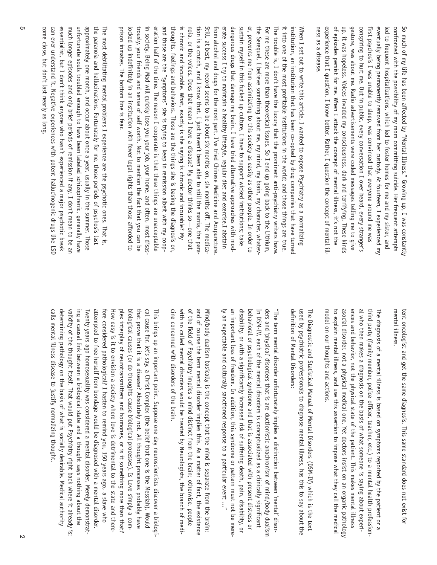of episodes persist for me. When I attack the concept of mental illness, it's not the up, it was hopeless. Voices invaded my consciousness, dark and terrifying. These kinds gesture, was about me. Radio advertisements were coded messages telling me to give conspiring to hurt me. Out in public, every conversation I over heard, every stranger's first psychosis I was unable to sleep, was convinced that everyone around me was eventually being permanently removed from her custody. At fourteen, I experienced my led to frequent hospitalizations, which led to foster homes for me and my sister, and confronted with the possibility of my mom committing suicide. Her frequent attempts So much of my life has been affected by "Mental Illness." Growing up, I was constantly ness as a disease. experience that I question. I know better. I duestion for the concept of mental jil. ness as a disease. experience that I question. I know better. Rather, I question the concept of mental illup, it was hopeless. Voices invaded my consciousness, dark and terrifying. These kinds conspiring to hurt me. Out in public, every conversation I over heard, every stranger's first psychosis I was unable to sleep, was convinced that everyone around me was eventually being permanently removed from her custody. At fourteen, I experienced my led to frequent hospitalizations, which led to foster homes for me and my sister, and confronted with the possibility of my mom committing suicide. Her frequent attempts So much of my life has been affected by "Mental Illness." Growing up, I was constantly esture, was about me. Radio advertisements were coded messages telling me to give episodes persist for me. When I attack the concept of mental illness, it's not the

prison inmates. The bottom line is fear. trously, your friends and sense of self worth. Not to mention the fact that you can be in society. Being Mad will quickly lose you your job, your home, and often, most disaseration half of the time. The reason I cooperate is that these things are unacceptable and those are the "symptoms" she is trying to keep in remission albeit with my coopthoughts, feelings and behaviors. Those are the things she is basing the diagnosis on is chronic and incurable. What, exactly is she saying is chronic and incurable? My noia, or the voices. Does that mean I have a disease? My doctor thinks so—one that tion is a crutch, and I know that. I just haven't been able to still the mania, the para Still, at best, my record seems to be about six months on, six months off. The medicafrom alcohol and drugs for the most part. I've tried Chinese Medicine and Acupuncture erate success I try to maintain a healthy lifestyle, regular diet and exercise.I abstain dangerous drugs that damage my brain. I have tried alternative approaches with mod sustain myself in this fucked up culture, I have to support wicked institutions; take er, prevents me from assimilating to this society as easily as other people. In order to the Serequel. I believe something about me, my mind, my brain, my character, whatev For me these are more than theoretical issues. So I end up going back to the Lithium, The trouble is, I don't have the luxury that the prominent anti-psychiatry writers have it into one of the most profitable institutions in the world; and those things are true. institution, an institution that has been co-opted by drug companies that have turned When I set out to write this article, I wanted to expose Psychiatry as a normalizing locked up indefinitely in an institution with fewer legal rights than those afforded to prison inmates. The bottom line is fear. locked up indefinitely in an institution with fewer legal rights than those afforded to trously, your friends and sense of self worth. Not to mention the fact that you can be in society. Being Mad will quickly lose you your job, your home, and often, most disaseration half of the time. The reason I cooperate is that these things are unacceptable and those are the "symptoms" she is trying to keep in remission albeit with my coopthoughts, feelings and behaviors. Those are the things she is basing the diagnosis on, is chronic and incurable. What, exactly is she saying is chronic and incurable? My erate success I try to maintain a healthy lifestyle, regular diet and exercise.I abstain<br>from alcohol and drugs for the most part. Tve tried Chinese Medicine and Acupuncture.<br>Still, at best, my record seems to be about six sustain myself in this fucked up culture, I have to support wicked institutions; take er, prevents me from assimilating to this society as easily as other people. In order to the Serequel. I believe something about me, my mind, my brain, my character, whatev-For me these are more than theoretical issues. So I end up going back to the Lithium, The trouble is, I don't have the luxury that the prominent anti-psychiatry writers have. it into one of the most profitable institutions in the world; and those things are true. institution, an institution that has been co-opted by drug companies that have turned When I set out to write this article, I wanted to expose Psychiatry as a normalizing ngerous drugs that damage my brain. I have tried alternative approaches with mod-

essentialist, but I don't think anyone who hasn't experienced a major psychotic break much longer episodes and only brief periods of remission if any. I don't mean to be an unfortunate souls troubled enough to have been labeled schizophrenic, generally have approximately one month, and occur about once a year, usually in the summer. Those the paranoia and hallucinations. Fortunately for me, those periods of psychosis last The most debilitating mental problems I experience are the psychotic ones. That is, come close, but don't last nearly as long can ever understand it. Negative experiences with potent hallucinogenic drugs like LSD come close, but don't last nearly as long. can ever understand it. Negative experiences with potent hallucinogenic drugs like LSD essentialist, but I don't think anyone who hasn't experienced a major psychotic breakunfortunate souls troubled enough to have been labeled schizophrenic, generally have approximately one month, and occur about once a year, usually in the summer. Those the paranoia and hallucinations. Fortunately for me, those periods of psychosis last The most debilitating mental problems I experience are the psychotic ones. That is, ch longer episodes and only brief periods of remission if any. I don't mean to be an

> mental illness. tent oncologist and get the same diagnosis. This same standard does not exist for tent oncologist and get the same diagnosis. This same standard does not exist for ntal illness.

al who then makes a diagnosis on the basis of what someone is saying about expenmodel on our thoughts and actions. to explain mental illness, and use this assertion to impose what they call the medical asocial disorder, not a physical medical one. Yet doctors insist on an organic pathology ences and behavior, not the physical state of the patient. This makes mental illness third party (family member, police officer, teacher, etc.) to a mental health profession-The diagnosis of a mental illness is based on symptoms reported by the patient or a to explain mental illness, and use this assertion to impose what they call the medical asocial disorder, not a physical medical one. Yet doctors insist on an organic pathology ences and behavior, not the physical state of the patient. This makes mental illness al who then makes a diagnosis on the basis of what someone is saying about experithird party (family member, police officer, teacher, etc.) to a mental health profession-The diagnosis of a mental illness is based on symptoms reported by the patient or a del on our thoughts and actions.

used by psychiatric professionals to diagnose mental illness, has this to say about the definition of Mental Disorders: The Diagnostic and Statistical Manual of Mental Disorders (DSM-IV) which is the text used by psychiatric professionals to diagnose mental illness, has this to say about the The Diagnostic and Statistical Manual of Mental Disorders (DSM-IV) which is the text efinition of Mental Disorders:

ly an expectable and culturally sanctioned response to a particular event ..." an important loss of freedom. In addition, this syndrome or pattern must not be mere disability, or with a significantly increased risk of suffering death, pain, disability, or behavioral or psychological syndrome and that is associated with present distress or ders and 'physical' disorders that is are ductionistic anachronism of mind/body dualism In DSM-IV, each of the mental disorders is conceptualized as a clinically significant "The term mental disorder unfortunately implies a distinction between 'mental' disorly an expectable and culturally sanctioned response to a particular event ..." an important loss of freedom. In addition, this syndrome or pattern must not be meredisability, or with a significantly increased risk of suffering death, pain, disability, or behavioral or psychological syndrome and that is associated with present distress or In DSM-IV, each of the mental disorders is conceptualized as a clinically significant "The term mental disorder unfortunately implies a distinction between 'mental' disorers and 'physical' disorders that is are ductionistic anachronism of mind/body dualism

of the field of Psychiatry implies a mind distinct from the brain; otherwise, people and of course the term mental disorder implies this. As a matter of fact, the existence with so called mental disorders would be treated by Neurologists, the branch of medicine concerned with disorders of the brain. Mind/body dualism basically is the concept that the mind is separate from the brain; cine concerned with disorders of the brain. with so called mental disorders would be treated by Neurologists, the branch of mediand of course the term mental disorder implies this. As a matter of fact, the existence Mind/body dualism basically is the concept that the mind is separate from the brain; the field of Psychiatry implies a mind distinct from the brain; otherwise, people

validity of the thought itself. That would put Psychiatry right back where it already is: attempted to free herself from bondage would be diagnosed with a mental disorder. plex interplay of neurotransmitters and hormones, or is it something more than that? that prove that it is a disease? Absolutely not. All thought processes probably have cal cause for, let's say, a Christ Complex (the belief that one is the Messiah). Would calls mental illness disease to justify normalizing thought. determining pathology on the basis of what is socially desirable. Medical authority ing a causal link between a biological state and a thought says nothing about the Twenty years ago homosexuality was considered a mental disorder. Merely demonstratfore considered pathological? I hasten to remind you, 150 years ago, a slave who How easy is it to envision a society where love is detrimental to the state and therebiological causes (or do thoughts cause biological processes). Is Love simply a com-This brings up an important point. Suppose one day neuroscientists discover a biologicalls mental illness disease to justify normalizing thought. ing a causal link between a biological state and a thought says nothing about the<br>validity of the thought itself. That would put Psychiatry right back where it already is:<br>determining pathology on the basis of what is soci attempted to free herself from bondage would be diagnosed with a mental disorder. plex interplay of neurotransmitters and hormones, or is it something more than that? biological causes (or do thoughts cause biological processes). Is Love simply a comthat prove that it is a disease? Absolutely not. All thought processes probably have cal cause for, let's say, a Christ Complex (the belief that one is the Messiah). Would This brings up an important point. Suppose one day neuroscientists discover a biologiwenty years ago homosexuality was considered a mental disorder. Merely demonstratow easy is it to envision a society where love is detrimental to the state and thereconsidered pathological? I hasten to remind you, 150 years ago, a slave who